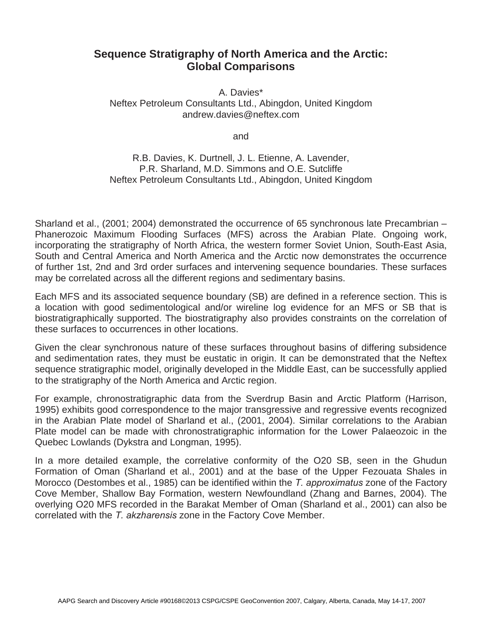## **Sequence Stratigraphy of North America and the Arctic: Global Comparisons**

A. Davies\* Neftex Petroleum Consultants Ltd., Abingdon, United Kingdom andrew.davies@neftex.com

and

R.B. Davies, K. Durtnell, J. L. Etienne, A. Lavender, P.R. Sharland, M.D. Simmons and O.E. Sutcliffe Neftex Petroleum Consultants Ltd., Abingdon, United Kingdom

Sharland et al., (2001; 2004) demonstrated the occurrence of 65 synchronous late Precambrian – Phanerozoic Maximum Flooding Surfaces (MFS) across the Arabian Plate. Ongoing work, incorporating the stratigraphy of North Africa, the western former Soviet Union, South-East Asia, South and Central America and North America and the Arctic now demonstrates the occurrence of further 1st, 2nd and 3rd order surfaces and intervening sequence boundaries. These surfaces may be correlated across all the different regions and sedimentary basins.

Each MFS and its associated sequence boundary (SB) are defined in a reference section. This is a location with good sedimentological and/or wireline log evidence for an MFS or SB that is biostratigraphically supported. The biostratigraphy also provides constraints on the correlation of these surfaces to occurrences in other locations.

Given the clear synchronous nature of these surfaces throughout basins of differing subsidence and sedimentation rates, they must be eustatic in origin. It can be demonstrated that the Neftex sequence stratigraphic model, originally developed in the Middle East, can be successfully applied to the stratigraphy of the North America and Arctic region.

For example, chronostratigraphic data from the Sverdrup Basin and Arctic Platform (Harrison, 1995) exhibits good correspondence to the major transgressive and regressive events recognized in the Arabian Plate model of Sharland et al., (2001, 2004). Similar correlations to the Arabian Plate model can be made with chronostratigraphic information for the Lower Palaeozoic in the Quebec Lowlands (Dykstra and Longman, 1995).

In a more detailed example, the correlative conformity of the O20 SB, seen in the Ghudun Formation of Oman (Sharland et al., 2001) and at the base of the Upper Fezouata Shales in Morocco (Destombes et al., 1985) can be identified within the *T. approximatus* zone of the Factory Cove Member, Shallow Bay Formation, western Newfoundland (Zhang and Barnes, 2004). The overlying O20 MFS recorded in the Barakat Member of Oman (Sharland et al., 2001) can also be correlated with the *T. akzharensis* zone in the Factory Cove Member.